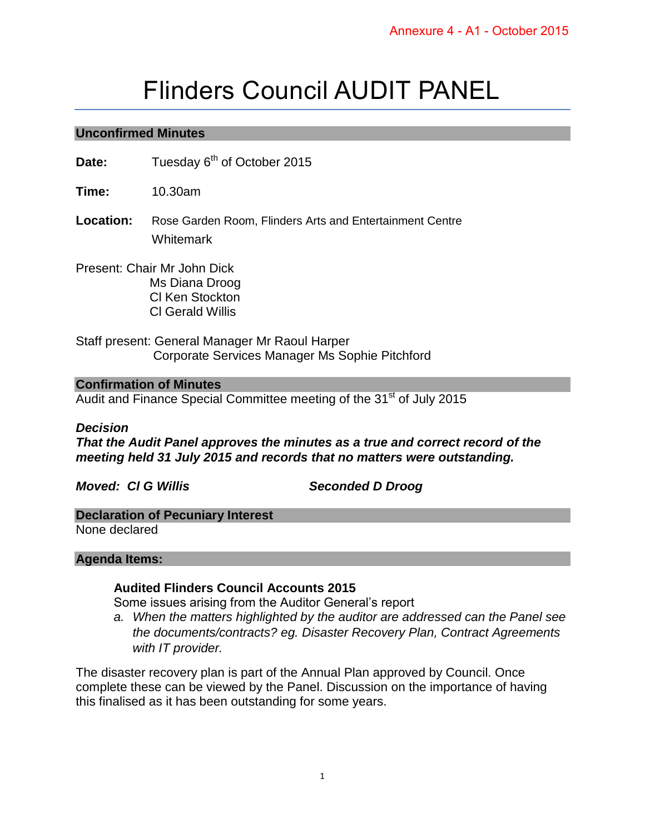# Flinders Council AUDIT PANEL

## **Unconfirmed Minutes**

Date: Tuesday 6<sup>th</sup> of October 2015

**Time:** 10.30am

**Location:** Rose Garden Room, Flinders Arts and Entertainment Centre **Whitemark** 

Present: Chair Mr John Dick Ms Diana Droog Cl Ken Stockton Cl Gerald Willis

Staff present: General Manager Mr Raoul Harper Corporate Services Manager Ms Sophie Pitchford

## **Confirmation of Minutes**

Audit and Finance Special Committee meeting of the 31<sup>st</sup> of July 2015

## *Decision*

*That the Audit Panel approves the minutes as a true and correct record of the meeting held 31 July 2015 and records that no matters were outstanding.* 

*Moved: Cl G Willis Seconded D Droog* 

## **Declaration of Pecuniary Interest**

None declared

## **Agenda Items:**

## **Audited Flinders Council Accounts 2015**

Some issues arising from the Auditor General's report

*a. When the matters highlighted by the auditor are addressed can the Panel see the documents/contracts? eg. Disaster Recovery Plan, Contract Agreements with IT provider.* 

The disaster recovery plan is part of the Annual Plan approved by Council. Once complete these can be viewed by the Panel. Discussion on the importance of having this finalised as it has been outstanding for some years.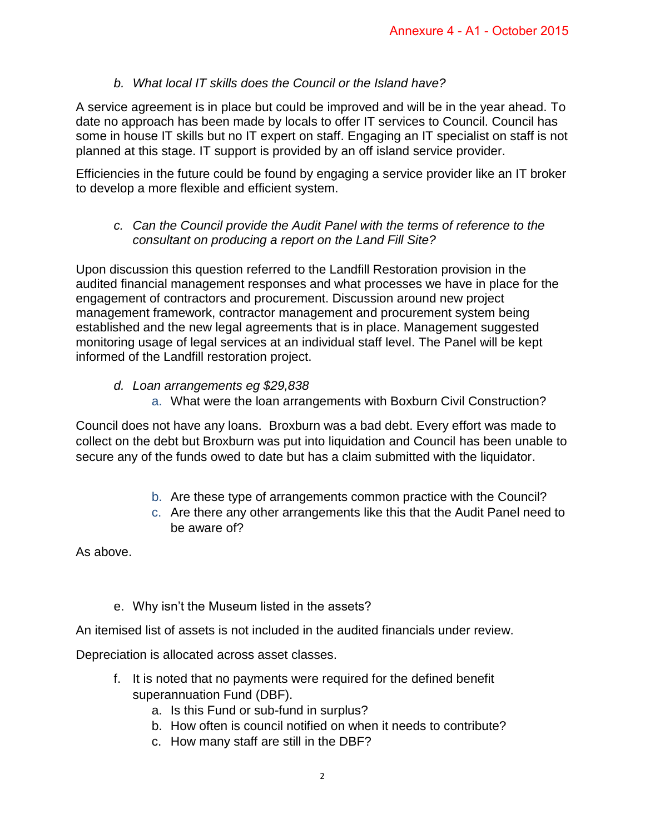# *b. What local IT skills does the Council or the Island have?*

A service agreement is in place but could be improved and will be in the year ahead. To date no approach has been made by locals to offer IT services to Council. Council has some in house IT skills but no IT expert on staff. Engaging an IT specialist on staff is not planned at this stage. IT support is provided by an off island service provider.

Efficiencies in the future could be found by engaging a service provider like an IT broker to develop a more flexible and efficient system.

*c. Can the Council provide the Audit Panel with the terms of reference to the consultant on producing a report on the Land Fill Site?* 

Upon discussion this question referred to the Landfill Restoration provision in the audited financial management responses and what processes we have in place for the engagement of contractors and procurement. Discussion around new project management framework, contractor management and procurement system being established and the new legal agreements that is in place. Management suggested monitoring usage of legal services at an individual staff level. The Panel will be kept informed of the Landfill restoration project.

- *d. Loan arrangements eg \$29,838* 
	- a. What were the loan arrangements with Boxburn Civil Construction?

Council does not have any loans. Broxburn was a bad debt. Every effort was made to collect on the debt but Broxburn was put into liquidation and Council has been unable to secure any of the funds owed to date but has a claim submitted with the liquidator.

- b. Are these type of arrangements common practice with the Council?
- c. Are there any other arrangements like this that the Audit Panel need to be aware of?

As above.

e. Why isn't the Museum listed in the assets?

An itemised list of assets is not included in the audited financials under review.

Depreciation is allocated across asset classes.

- f. It is noted that no payments were required for the defined benefit superannuation Fund (DBF).
	- a. Is this Fund or sub-fund in surplus?
	- b. How often is council notified on when it needs to contribute?
	- c. How many staff are still in the DBF?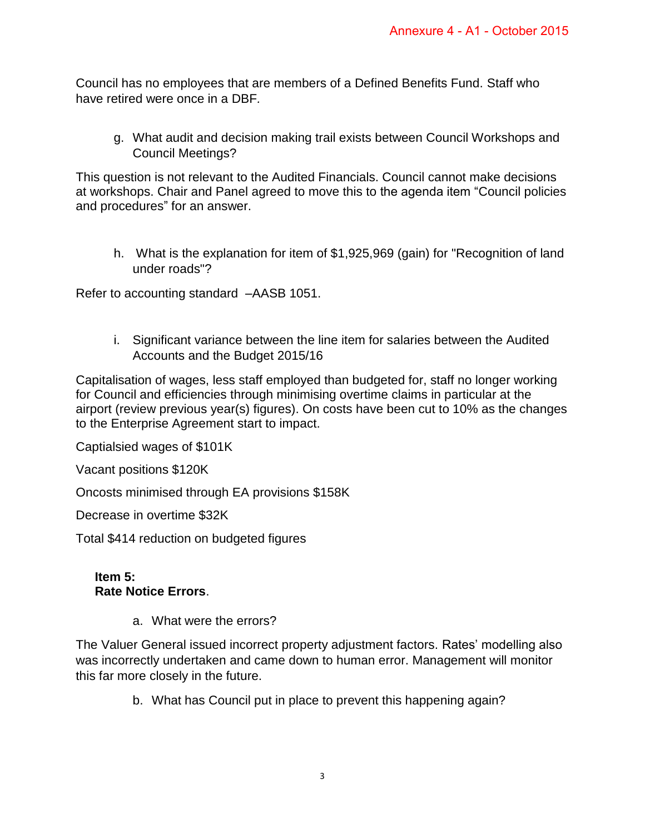Council has no employees that are members of a Defined Benefits Fund. Staff who have retired were once in a DBF*.* 

g. What audit and decision making trail exists between Council Workshops and Council Meetings?

This question is not relevant to the Audited Financials. Council cannot make decisions at workshops. Chair and Panel agreed to move this to the agenda item "Council policies and procedures" for an answer.

h. What is the explanation for item of \$1,925,969 (gain) for "Recognition of land under roads"?

Refer to accounting standard –AASB 1051.

i. Significant variance between the line item for salaries between the Audited Accounts and the Budget 2015/16

Capitalisation of wages, less staff employed than budgeted for, staff no longer working for Council and efficiencies through minimising overtime claims in particular at the airport (review previous year(s) figures). On costs have been cut to 10% as the changes to the Enterprise Agreement start to impact.

Captialsied wages of \$101K

Vacant positions \$120K

Oncosts minimised through EA provisions \$158K

Decrease in overtime \$32K

Total \$414 reduction on budgeted figures

## **Item 5: Rate Notice Errors**.

a. What were the errors?

The Valuer General issued incorrect property adjustment factors. Rates' modelling also was incorrectly undertaken and came down to human error. Management will monitor this far more closely in the future.

b. What has Council put in place to prevent this happening again?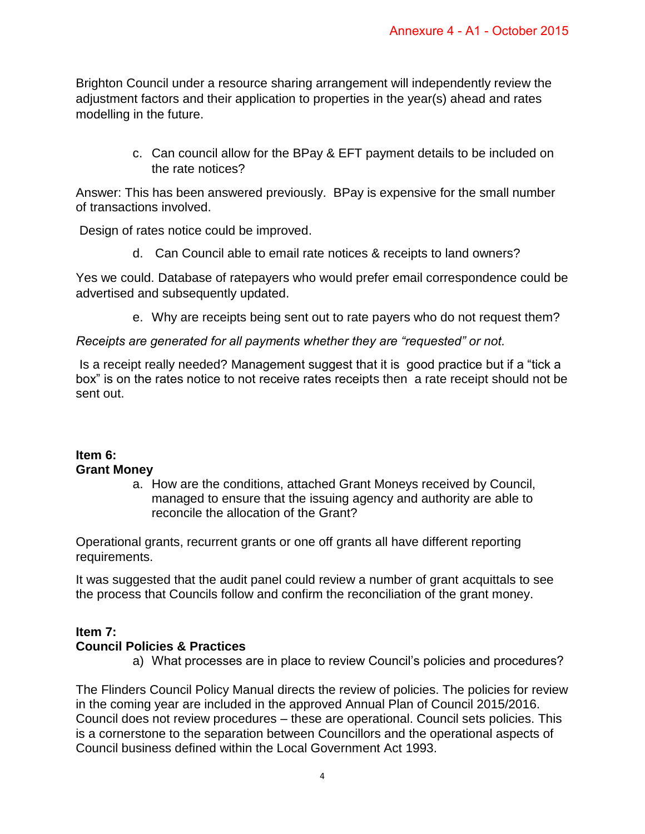Brighton Council under a resource sharing arrangement will independently review the adjustment factors and their application to properties in the year(s) ahead and rates modelling in the future.

> c. Can council allow for the BPay & EFT payment details to be included on the rate notices?

Answer: This has been answered previously. BPay is expensive for the small number of transactions involved.

Design of rates notice could be improved.

d. Can Council able to email rate notices & receipts to land owners?

Yes we could. Database of ratepayers who would prefer email correspondence could be advertised and subsequently updated.

e. Why are receipts being sent out to rate payers who do not request them?

# *Receipts are generated for all payments whether they are "requested" or not.*

 Is a receipt really needed? Management suggest that it is good practice but if a "tick a box" is on the rates notice to not receive rates receipts then a rate receipt should not be sent out.

## **Item 6: Grant Money**

a. How are the conditions, attached Grant Moneys received by Council, managed to ensure that the issuing agency and authority are able to reconcile the allocation of the Grant?

Operational grants, recurrent grants or one off grants all have different reporting requirements.

It was suggested that the audit panel could review a number of grant acquittals to see the process that Councils follow and confirm the reconciliation of the grant money.

## **Item 7:**

## **Council Policies & Practices**

a) What processes are in place to review Council's policies and procedures?

The Flinders Council Policy Manual directs the review of policies. The policies for review in the coming year are included in the approved Annual Plan of Council 2015/2016. Council does not review procedures – these are operational. Council sets policies. This is a cornerstone to the separation between Councillors and the operational aspects of Council business defined within the Local Government Act 1993.